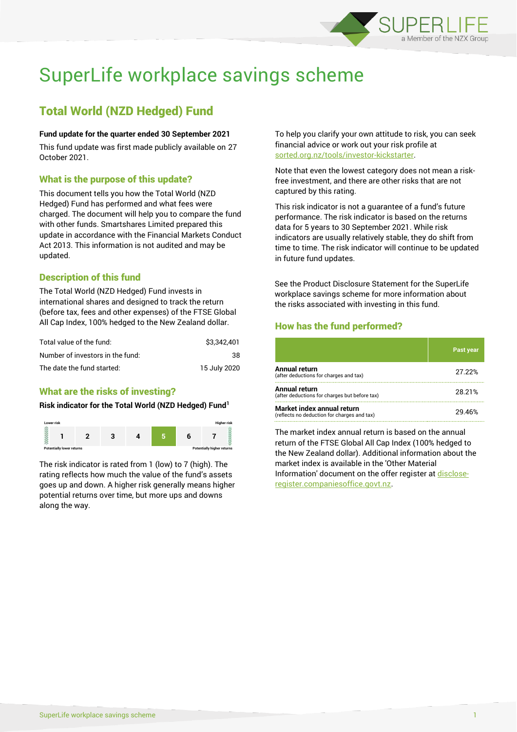

# SuperLife workplace savings scheme

# Total World (NZD Hedged) Fund

#### **Fund update for the quarter ended 30 September 2021**

This fund update was first made publicly available on 27 October 2021.

# What is the purpose of this update?

This document tells you how the Total World (NZD Hedged) Fund has performed and what fees were charged. The document will help you to compare the fund with other funds. Smartshares Limited prepared this update in accordance with the Financial Markets Conduct Act 2013. This information is not audited and may be updated.

# Description of this fund

The Total World (NZD Hedged) Fund invests in international shares and designed to track the return (before tax, fees and other expenses) of the FTSE Global All Cap Index, 100% hedged to the New Zealand dollar.

| Total value of the fund:         | \$3.342.401  |
|----------------------------------|--------------|
| Number of investors in the fund: | 38           |
| The date the fund started:       | 15 July 2020 |

# What are the risks of investing?

#### **Risk indicator for the Total World (NZD Hedged) Fund<sup>1</sup>**



The risk indicator is rated from 1 (low) to 7 (high). The rating reflects how much the value of the fund's assets goes up and down. A higher risk generally means higher potential returns over time, but more ups and downs along the way.

To help you clarify your own attitude to risk, you can seek financial advice or work out your risk profile at [sorted.org.nz/tools/investor-kickstarter.](http://www.sorted.org.nz/tools/investor-kickstarter)

Note that even the lowest category does not mean a riskfree investment, and there are other risks that are not captured by this rating.

This risk indicator is not a guarantee of a fund's future performance. The risk indicator is based on the returns data for 5 years to 30 September 2021. While risk indicators are usually relatively stable, they do shift from time to time. The risk indicator will continue to be updated in future fund updates.

See the Product Disclosure Statement for the SuperLife workplace savings scheme for more information about the risks associated with investing in this fund.

# How has the fund performed?

|                                                                           | Past year |
|---------------------------------------------------------------------------|-----------|
| <b>Annual return</b><br>(after deductions for charges and tax)            | 27.22%    |
| Annual return<br>(after deductions for charges but before tax)            | 28.21%    |
| Market index annual return<br>(reflects no deduction for charges and tax) | 29 46%    |

The market index annual return is based on the annual return of the FTSE Global All Cap Index (100% hedged to the New Zealand dollar). Additional information about the market index is available in the 'Other Material Information' document on the offer register a[t disclose](http://www.disclose-register.companiesoffice.govt.nz/)[register.companiesoffice.govt.nz.](http://www.disclose-register.companiesoffice.govt.nz/)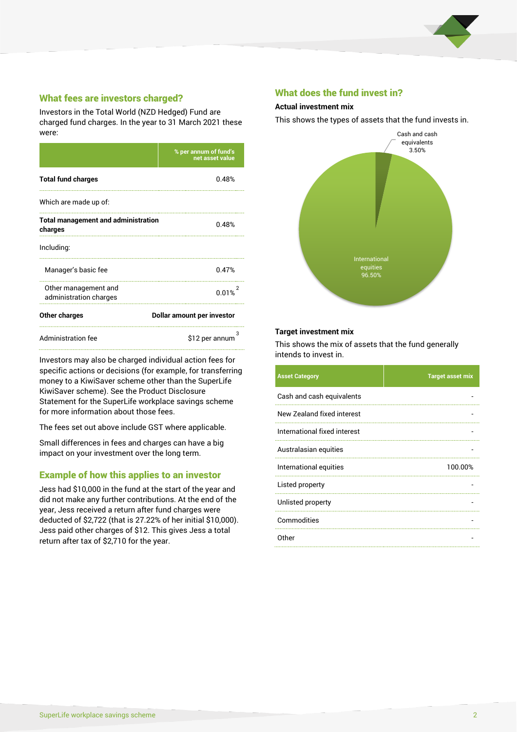

# What fees are investors charged?

Investors in the Total World (NZD Hedged) Fund are charged fund charges. In the year to 31 March 2021 these were:

|                                                       | % per annum of fund's<br>net asset value |  |
|-------------------------------------------------------|------------------------------------------|--|
| <b>Total fund charges</b>                             | 0.48%                                    |  |
| Which are made up of:                                 |                                          |  |
| <b>Total management and administration</b><br>charges | 0.48%                                    |  |
| Including:                                            |                                          |  |
| Manager's basic fee                                   | 0.47%                                    |  |
| Other management and<br>administration charges        | 0.01%                                    |  |
| Other charges                                         | Dollar amount per investor               |  |
| <b>Administration fee</b>                             | \$12 per annum                           |  |

Investors may also be charged individual action fees for specific actions or decisions (for example, for transferring money to a KiwiSaver scheme other than the SuperLife KiwiSaver scheme). See the Product Disclosure Statement for the SuperLife workplace savings scheme for more information about those fees.

The fees set out above include GST where applicable.

Small differences in fees and charges can have a big impact on your investment over the long term.

# Example of how this applies to an investor

Jess had \$10,000 in the fund at the start of the year and did not make any further contributions. At the end of the year, Jess received a return after fund charges were deducted of \$2,722 (that is 27.22% of her initial \$10,000). Jess paid other charges of \$12. This gives Jess a total return after tax of \$2,710 for the year.

#### What does the fund invest in?

#### **Actual investment mix**

This shows the types of assets that the fund invests in.



#### **Target investment mix**

This shows the mix of assets that the fund generally intends to invest in.

| <b>Asset Category</b>        | <b>Target asset mix</b> |
|------------------------------|-------------------------|
| Cash and cash equivalents    |                         |
| New Zealand fixed interest   |                         |
| International fixed interest |                         |
| Australasian equities        |                         |
| International equities       | 100.00%                 |
| Listed property              |                         |
| Unlisted property            |                         |
| Commodities                  |                         |
| Other                        |                         |